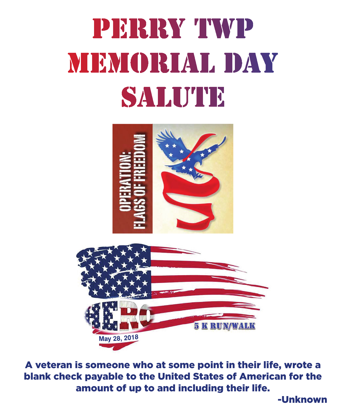# PERRY TWP MEMORIAL DAY SALUTE



A veteran is someone who at some point in their life, wrote a blank check payable to the United States of American for the amount of up to and including their life.

-Unknown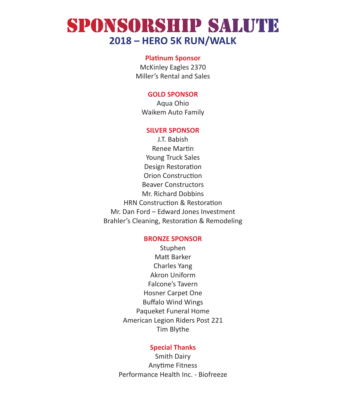### SPONSORSHIP SALUTE **2018 – HERO 5K RUN/WALK**

#### **Platinum Sponsor**

McKinley Eagles 2370 Miller's Rental and Sales

#### **GOLD SPONSOR**

Aqua Ohio Waikem Auto Family

#### **SILVER SPONSOR**

J.T. Babish Renee Martin Young Truck Sales Design Restoration Orion Construction Beaver Constructors Mr. Richard Dobbins HRN Construction & Restoration Mr. Dan Ford – Edward Jones Investment Brahler's Cleaning, Restoration & Remodeling

#### **BRONZE SPONSOR**

Stuphen Matt Barker Charles Yang Akron Uniform Falcone's Tavern Hosner Carpet One Buffalo Wind Wings Paqueket Funeral Home American Legion Riders Post 221 Tim Blythe

#### **Special Thanks**

Smith Dairy Anytime Fitness Performance Health Inc. - Biofreeze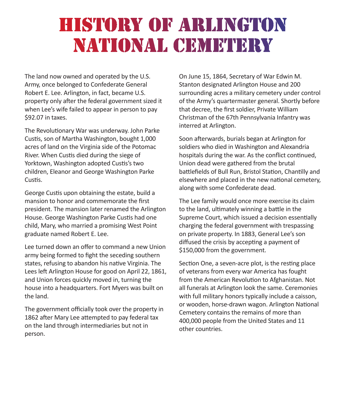### HISTORY OF ARLINGTON NATIONAL CEMETERY

The land now owned and operated by the U.S. Army, once belonged to Confederate General Robert E. Lee. Arlington, in fact, became U.S. property only after the federal government sized it when Lee's wife failed to appear in person to pay \$92.07 in taxes.

The Revolutionary War was underway. John Parke Custis, son of Martha Washington, bought 1,000 acres of land on the Virginia side of the Potomac River. When Custis died during the siege of Yorktown, Washington adopted Custis's two children, Eleanor and George Washington Parke Custis.

George Custis upon obtaining the estate, build a mansion to honor and commemorate the first president. The mansion later renamed the Arlington House. George Washington Parke Custis had one child, Mary, who married a promising West Point graduate named Robert E. Lee.

Lee turned down an offer to command a new Union army being formed to fight the seceding southern states, refusing to abandon his native Virginia. The Lees left Arlington House for good on April 22, 1861, and Union forces quickly moved in, turning the house into a headquarters. Fort Myers was built on the land.

The government officially took over the property in 1862 after Mary Lee attempted to pay federal tax on the land through intermediaries but not in person.

On June 15, 1864, Secretary of War Edwin M. Stanton designated Arlington House and 200 surrounding acres a military cemetery under control of the Army's quartermaster general. Shortly before that decree, the first soldier, Private William Christman of the 67th Pennsylvania Infantry was interred at Arlington.

Soon afterwards, burials began at Arlington for soldiers who died in Washington and Alexandria hospitals during the war. As the conflict continued, Union dead were gathered from the brutal battlefields of Bull Run, Bristol Station, Chantilly and elsewhere and placed in the new national cemetery, along with some Confederate dead.

The Lee family would once more exercise its claim to the land, ultimately winning a battle in the Supreme Court, which issued a decision essentially charging the federal government with trespassing on private property. In 1883, General Lee's son diffused the crisis by accepting a payment of \$150,000 from the government.

Section One, a seven-acre plot, is the resting place of veterans from every war America has fought from the American Revolution to Afghanistan. Not all funerals at Arlington look the same. Ceremonies with full military honors typically include a caisson, or wooden, horse-drawn wagon. Arlington National Cemetery contains the remains of more than 400,000 people from the United States and 11 other countries.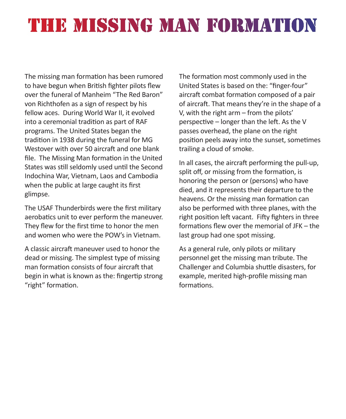## THE MISSING MAN FORMATION

The missing man formation has been rumored to have begun when British fighter pilots flew over the funeral of Manheim "The Red Baron" von Richthofen as a sign of respect by his fellow aces. During World War II, it evolved into a ceremonial tradition as part of RAF programs. The United States began the tradition in 1938 during the funeral for MG Westover with over 50 aircraft and one blank file. The Missing Man formation in the United States was still seldomly used until the Second Indochina War, Vietnam, Laos and Cambodia when the public at large caught its first glimpse.

The USAF Thunderbirds were the first military aerobatics unit to ever perform the maneuver. They flew for the first time to honor the men and women who were the POW's in Vietnam.

A classic aircraft maneuver used to honor the dead or missing. The simplest type of missing man formation consists of four aircraft that begin in what is known as the: fingertip strong "right" formation.

The formation most commonly used in the United States is based on the: "finger-four" aircraft combat formation composed of a pair of aircraft. That means they're in the shape of a V, with the right arm – from the pilots' perspective – longer than the left. As the V passes overhead, the plane on the right position peels away into the sunset, sometimes trailing a cloud of smoke.

In all cases, the aircraft performing the pull-up, split off, or missing from the formation, is honoring the person or (persons) who have died, and it represents their departure to the heavens. Or the missing man formation can also be performed with three planes, with the right position left vacant. Fifty fighters in three formations flew over the memorial of JFK – the last group had one spot missing.

As a general rule, only pilots or military personnel get the missing man tribute. The Challenger and Columbia shuttle disasters, for example, merited high-profile missing man formations.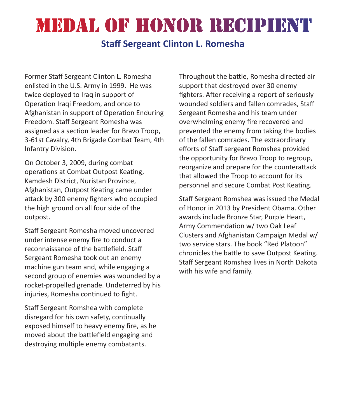## MEDAL OF HONOR RECIPIENT

### **Staff Sergeant Clinton L. Romesha**

Former Staff Sergeant Clinton L. Romesha enlisted in the U.S. Army in 1999. He was twice deployed to Iraq in support of Operation Iraqi Freedom, and once to Afghanistan in support of Operation Enduring Freedom. Staff Sergeant Romesha was assigned as a section leader for Bravo Troop, 3-61st Cavalry, 4th Brigade Combat Team, 4th Infantry Division.

On October 3, 2009, during combat operations at Combat Outpost Keating, Kamdesh District, Nuristan Province, Afghanistan, Outpost Keating came under attack by 300 enemy fighters who occupied the high ground on all four side of the outpost.

Staff Sergeant Romesha moved uncovered under intense enemy fire to conduct a reconnaissance of the battlefield. Staff Sergeant Romesha took out an enemy machine gun team and, while engaging a second group of enemies was wounded by a rocket-propelled grenade. Undeterred by his injuries, Romesha continued to fight.

Staff Sergeant Romshea with complete disregard for his own safety, continually exposed himself to heavy enemy fire, as he moved about the battlefield engaging and destroying multiple enemy combatants.

Throughout the battle, Romesha directed air support that destroyed over 30 enemy fighters. After receiving a report of seriously wounded soldiers and fallen comrades, Staff Sergeant Romesha and his team under overwhelming enemy fire recovered and prevented the enemy from taking the bodies of the fallen comrades. The extraordinary efforts of Staff sergeant Romshea provided the opportunity for Bravo Troop to regroup, reorganize and prepare for the counterattack that allowed the Troop to account for its personnel and secure Combat Post Keating.

Staff Sergeant Romshea was issued the Medal of Honor in 2013 by President Obama. Other awards include Bronze Star, Purple Heart, Army Commendation w/ two Oak Leaf Clusters and Afghanistan Campaign Medal w/ two service stars. The book "Red Platoon" chronicles the battle to save Outpost Keating. Staff Sergeant Romshea lives in North Dakota with his wife and family.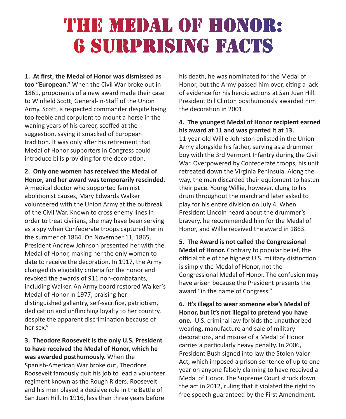### THE MEDAL OF HONOR: **6 SURPRISING FACTS**

**1. At first, the Medal of Honor was dismissed as too "European."** When the Civil War broke out in 1861, proponents of a new award made their case to Winfield Scott, General-in-Staff of the Union Army. Scott, a respected commander despite being too feeble and corpulent to mount a horse in the waning years of his career, scoffed at the suggestion, saying it smacked of European tradition. It was only after his retirement that Medal of Honor supporters in Congress could introduce bills providing for the decoration.

#### **2. Only one women has received the Medal of Honor, and her award was temporarily rescinded.**

A medical doctor who supported feminist abolitionist causes, Mary Edwards Walker volunteered with the Union Army at the outbreak of the Civil War. Known to cross enemy lines in order to treat civilians, she may have been serving as a spy when Confederate troops captured her in the summer of 1864. On November 11, 1865, President Andrew Johnson presented her with the Medal of Honor, making her the only woman to date to receive the decoration. In 1917, the Army changed its eligibility criteria for the honor and revoked the awards of 911 non-combatants, including Walker. An Army board restored Walker's Medal of Honor in 1977, praising her: distinguished gallantry, self-sacrifice, patriotism, dedication and unflinching loyalty to her country, despite the apparent discrimination because of her sex."

**3. Theodore Roosevelt is the only U.S. President to have received the Medal of Honor, which he was awarded posthumously.** When the Spanish-American War broke out, Theodore Roosevelt famously quit his job to lead a volunteer regiment known as the Rough Riders. Roosevelt and his men played a decisive role in the Battle of San Juan Hill. In 1916, less than three years before

his death, he was nominated for the Medal of Honor, but the Army passed him over, citing a lack of evidence for his heroic actions at San Juan Hill. President Bill Clinton posthumously awarded him the decoration in 2001.

### **4. The youngest Medal of Honor recipient earned his award at 11 and was granted it at 13.**

11-year-old Willie Johnston enlisted in the Union Army alongside his father, serving as a drummer boy with the 3rd Vermont Infantry during the Civil War. Overpowered by Confederate troops, his unit retreated down the Virginia Peninsula. Along the way, the men discarded their equipment to hasten their pace. Young Willie, however, clung to his drum throughout the march and later asked to play for his entire division on July 4. When President Lincoln heard about the drummer's bravery, he recommended him for the Medal of Honor, and Willie received the award in 1863.

**5. The Award is not called the Congressional Medal of Honor.** Contrary to popular belief, the official title of the highest U.S. military distinction is simply the Medal of Honor, not the Congressional Medal of Honor. The confusion may have arisen because the President presents the award "in the name of Congress."

**6. It's illegal to wear someone else's Medal of Honor, but it's not illegal to pretend you have one.** U.S. criminal law forbids the unauthorized wearing, manufacture and sale of military decorations, and misuse of a Medal of Honor carries a particularly heavy penalty. In 2006, President Bush signed into law the Stolen Valor Act, which imposed a prison sentence of up to one year on anyone falsely claiming to have received a Medal of Honor. The Supreme Court struck down the act in 2012, ruling that it violated the right to free speech guaranteed by the First Amendment.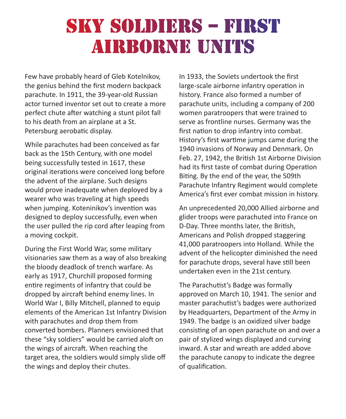### SKY SOLDIERS - FIRST AIRBORNE UNITS

Few have probably heard of Gleb Kotelnikov, the genius behind the first modern backpack parachute. In 1911, the 39-year-old Russian actor turned inventor set out to create a more perfect chute after watching a stunt pilot fall to his death from an airplane at a St. Petersburg aerobatic display.

While parachutes had been conceived as far back as the 15th Century, with one model being successfully tested in 1617, these original iterations were conceived long before the advent of the airplane. Such designs would prove inadequate when deployed by a wearer who was traveling at high speeds when jumping. Koteninikov's invention was designed to deploy successfully, even when the user pulled the rip cord after leaping from a moving cockpit.

During the First World War, some military visionaries saw them as a way of also breaking the bloody deadlock of trench warfare. As early as 1917, Churchill proposed forming entire regiments of infantry that could be dropped by aircraft behind enemy lines. In World War I, Billy Mitchell, planned to equip elements of the American 1st Infantry Division with parachutes and drop them from converted bombers. Planners envisioned that these "sky soldiers" would be carried aloft on the wings of aircraft. When reaching the target area, the soldiers would simply slide off the wings and deploy their chutes.

In 1933, the Soviets undertook the first large-scale airborne infantry operation in history. France also formed a number of parachute units, including a company of 200 women paratroopers that were trained to serve as frontline nurses. Germany was the first nation to drop infantry into combat. History's first wartime jumps came during the 1940 invasions of Norway and Denmark. On Feb. 27, 1942, the British 1st Airborne Division had its first taste of combat during Operation Biting. By the end of the year, the 509th Parachute Infantry Regiment would complete America's first ever combat mission in history.

An unprecedented 20,000 Allied airborne and glider troops were parachuted into France on D-Day. Three months later, the British, Americans and Polish dropped staggering 41,000 paratroopers into Holland. While the advent of the helicopter diminished the need for parachute drops, several have still been undertaken even in the 21st century.

The Parachutist's Badge was formally approved on March 10, 1941. The senior and master parachutist's badges were authorized by Headquarters, Department of the Army in 1949. The badge is an oxidized silver badge consisting of an open parachute on and over a pair of stylized wings displayed and curving inward. A star and wreath are added above the parachute canopy to indicate the degree of qualification.